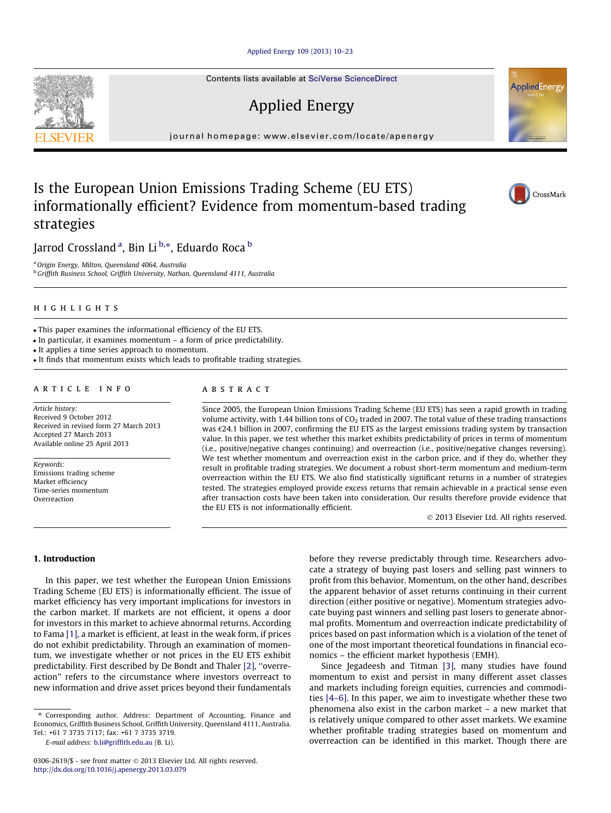#### [Applied Energy 109 \(2013\) 10–23](http://dx.doi.org/10.1016/j.apenergy.2013.03.079)

Contents lists available at [SciVerse ScienceDirect](http://www.sciencedirect.com/science/journal/03062619)

## Applied Energy

journal homepage: [www.elsevier.com/locate/apenergy](http://www.elsevier.com/locate/apenergy)

### Is the European Union Emissions Trading Scheme (EU ETS) informationally efficient? Evidence from momentum-based trading strategies

### Jarrod Crossland <sup>a</sup>, Bin Li <sup>b,</sup>\*, Eduardo Roca <sup>b</sup>

<sup>a</sup> Origin Energy, Milton, Queensland 4064, Australia

<sup>b</sup> Griffith Business School, Griffith University, Nathan, Queensland 4111, Australia

#### highlights

- This paper examines the informational efficiency of the EU ETS.

- In particular, it examines momentum – a form of price predictability.

- It applies a time series approach to momentum.

- It finds that momentum exists which leads to profitable trading strategies.

#### article info

Article history: Received 9 October 2012 Received in revised form 27 March 2013 Accepted 27 March 2013 Available online 25 April 2013

Keywords: Emissions trading scheme Market efficiency Time-series momentum Overreaction

#### **ABSTRACT**

Since 2005, the European Union Emissions Trading Scheme (EU ETS) has seen a rapid growth in trading volume activity, with 1.44 billion tons of  $CO<sub>2</sub>$  traded in 2007. The total value of these trading transactions was €24.1 billion in 2007, confirming the EU ETS as the largest emissions trading system by transaction value. In this paper, we test whether this market exhibits predictability of prices in terms of momentum (i.e., positive/negative changes continuing) and overreaction (i.e., positive/negative changes reversing). We test whether momentum and overreaction exist in the carbon price, and if they do, whether they result in profitable trading strategies. We document a robust short-term momentum and medium-term overreaction within the EU ETS. We also find statistically significant returns in a number of strategies tested. The strategies employed provide excess returns that remain achievable in a practical sense even after transaction costs have been taken into consideration. Our results therefore provide evidence that the EU ETS is not informationally efficient.

- 2013 Elsevier Ltd. All rights reserved.

#### 1. Introduction

In this paper, we test whether the European Union Emissions Trading Scheme (EU ETS) is informationally efficient. The issue of market efficiency has very important implications for investors in the carbon market. If markets are not efficient, it opens a door for investors in this market to achieve abnormal returns. According to Fama [\[1\]](#page--1-0), a market is efficient, at least in the weak form, if prices do not exhibit predictability. Through an examination of momentum, we investigate whether or not prices in the EU ETS exhibit predictability. First described by De Bondt and Thaler [\[2\]](#page--1-0), ''overreaction'' refers to the circumstance where investors overreact to new information and drive asset prices beyond their fundamentals

E-mail address: [b.li@griffith.edu.au](mailto:b.li@griffith.edu.au) (B. Li).

before they reverse predictably through time. Researchers advocate a strategy of buying past losers and selling past winners to profit from this behavior. Momentum, on the other hand, describes the apparent behavior of asset returns continuing in their current direction (either positive or negative). Momentum strategies advocate buying past winners and selling past losers to generate abnormal profits. Momentum and overreaction indicate predictability of prices based on past information which is a violation of the tenet of one of the most important theoretical foundations in financial economics – the efficient market hypothesis (EMH).

Since Jegadeesh and Titman [\[3\],](#page--1-0) many studies have found momentum to exist and persist in many different asset classes and markets including foreign equities, currencies and commodities [\[4–6\]](#page--1-0). In this paper, we aim to investigate whether these two phenomena also exist in the carbon market – a new market that is relatively unique compared to other asset markets. We examine whether profitable trading strategies based on momentum and overreaction can be identified in this market. Though there are







<sup>⇑</sup> Corresponding author. Address: Department of Accounting, Finance and Economics, Griffith Business School, Griffith University, Queensland 4111, Australia. Tel.: +61 7 3735 7117; fax: +61 7 3735 3719.

<sup>0306-2619/\$ -</sup> see front matter © 2013 Elsevier Ltd. All rights reserved. <http://dx.doi.org/10.1016/j.apenergy.2013.03.079>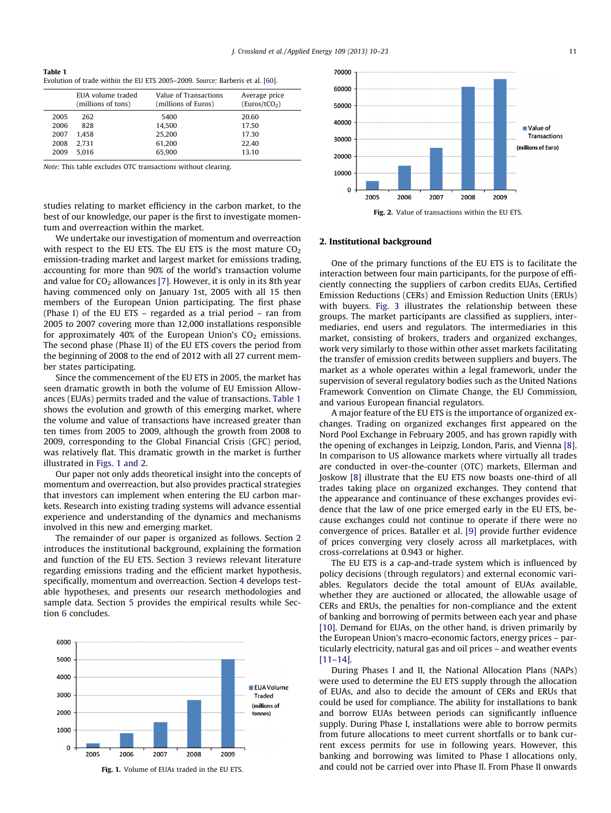Table 1 Evolution of trade within the EU ETS 2005–2009. Source: Barberis et al. [\[60\]](#page--1-0).

|      | EUA volume traded<br>(millions of tons) | Value of Transactions<br>(millions of Euros) | Average price<br>(Euros/tCO <sub>2</sub> ) |
|------|-----------------------------------------|----------------------------------------------|--------------------------------------------|
| 2005 | 262                                     | 5400                                         | 20.60                                      |
| 2006 | 828                                     | 14.500                                       | 17.50                                      |
| 2007 | 1.458                                   | 25.200                                       | 17.30                                      |
| 2008 | 2.731                                   | 61.200                                       | 22.40                                      |
| 2009 | 5.016                                   | 65.900                                       | 13.10                                      |
|      |                                         |                                              |                                            |

Note: This table excludes OTC transactions without clearing.

studies relating to market efficiency in the carbon market, to the best of our knowledge, our paper is the first to investigate momentum and overreaction within the market.

We undertake our investigation of momentum and overreaction with respect to the EU ETS. The EU ETS is the most mature  $CO<sub>2</sub>$ emission-trading market and largest market for emissions trading, accounting for more than 90% of the world's transaction volume and value for  $CO<sub>2</sub>$  allowances [\[7\].](#page--1-0) However, it is only in its 8th year having commenced only on January 1st, 2005 with all 15 then members of the European Union participating. The first phase (Phase I) of the EU ETS – regarded as a trial period – ran from 2005 to 2007 covering more than 12,000 installations responsible for approximately 40% of the European Union's  $CO<sub>2</sub>$  emissions. The second phase (Phase II) of the EU ETS covers the period from the beginning of 2008 to the end of 2012 with all 27 current member states participating.

Since the commencement of the EU ETS in 2005, the market has seen dramatic growth in both the volume of EU Emission Allowances (EUAs) permits traded and the value of transactions. Table 1 shows the evolution and growth of this emerging market, where the volume and value of transactions have increased greater than ten times from 2005 to 2009, although the growth from 2008 to 2009, corresponding to the Global Financial Crisis (GFC) period, was relatively flat. This dramatic growth in the market is further illustrated in Figs. 1 and 2.

Our paper not only adds theoretical insight into the concepts of momentum and overreaction, but also provides practical strategies that investors can implement when entering the EU carbon markets. Research into existing trading systems will advance essential experience and understanding of the dynamics and mechanisms involved in this new and emerging market.

The remainder of our paper is organized as follows. Section 2 introduces the institutional background, explaining the formation and function of the EU ETS. Section [3](#page--1-0) reviews relevant literature regarding emissions trading and the efficient market hypothesis, specifically, momentum and overreaction. Section [4](#page--1-0) develops testable hypotheses, and presents our research methodologies and sample data. Section [5](#page--1-0) provides the empirical results while Section [6](#page--1-0) concludes.



Fig. 1. Volume of EUAs traded in the EU ETS.



#### 2. Institutional background

One of the primary functions of the EU ETS is to facilitate the interaction between four main participants, for the purpose of efficiently connecting the suppliers of carbon credits EUAs, Certified Emission Reductions (CERs) and Emission Reduction Units (ERUs) with buyers. [Fig. 3](#page--1-0) illustrates the relationship between these groups. The market participants are classified as suppliers, intermediaries, end users and regulators. The intermediaries in this market, consisting of brokers, traders and organized exchanges, work very similarly to those within other asset markets facilitating the transfer of emission credits between suppliers and buyers. The market as a whole operates within a legal framework, under the supervision of several regulatory bodies such as the United Nations Framework Convention on Climate Change, the EU Commission, and various European financial regulators.

A major feature of the EU ETS is the importance of organized exchanges. Trading on organized exchanges first appeared on the Nord Pool Exchange in February 2005, and has grown rapidly with the opening of exchanges in Leipzig, London, Paris, and Vienna [\[8\].](#page--1-0) In comparison to US allowance markets where virtually all trades are conducted in over-the-counter (OTC) markets, Ellerman and Joskow [\[8\]](#page--1-0) illustrate that the EU ETS now boasts one-third of all trades taking place on organized exchanges. They contend that the appearance and continuance of these exchanges provides evidence that the law of one price emerged early in the EU ETS, because exchanges could not continue to operate if there were no convergence of prices. Bataller et al. [\[9\]](#page--1-0) provide further evidence of prices converging very closely across all marketplaces, with cross-correlations at 0.943 or higher.

The EU ETS is a cap-and-trade system which is influenced by policy decisions (through regulators) and external economic variables. Regulators decide the total amount of EUAs available, whether they are auctioned or allocated, the allowable usage of CERs and ERUs, the penalties for non-compliance and the extent of banking and borrowing of permits between each year and phase [\[10\].](#page--1-0) Demand for EUAs, on the other hand, is driven primarily by the European Union's macro-economic factors, energy prices – particularly electricity, natural gas and oil prices – and weather events [\[11–14\]](#page--1-0).

During Phases I and II, the National Allocation Plans (NAPs) were used to determine the EU ETS supply through the allocation of EUAs, and also to decide the amount of CERs and ERUs that could be used for compliance. The ability for installations to bank and borrow EUAs between periods can significantly influence supply. During Phase I, installations were able to borrow permits from future allocations to meet current shortfalls or to bank current excess permits for use in following years. However, this banking and borrowing was limited to Phase I allocations only, and could not be carried over into Phase II. From Phase II onwards